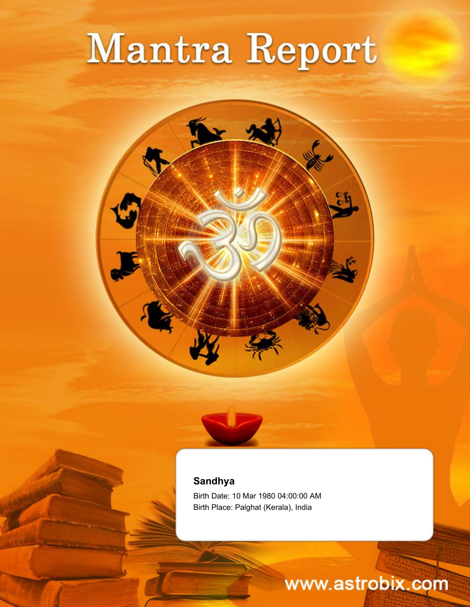# Mantra Report



#### **Sandhya**

Birth Date: 10 Mar 1980 04:00:00 AM Birth Place: Palghat (Kerala), India

## www.astrobix.com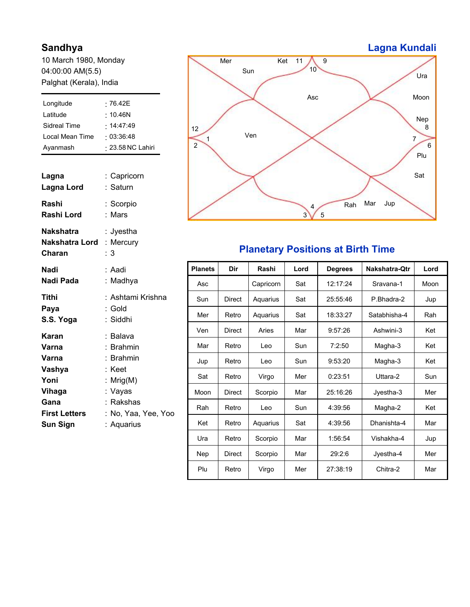#### **Sandhya**

10 March 1980, Monday 04:00:00 AM(5.5) Palghat (Kerala), India

| Longitude                                                            | :76.42E            |
|----------------------------------------------------------------------|--------------------|
| Latitude                                                             | $\cdot$ 10.46N     |
| <b>Sidreal Time</b>                                                  | .14:47:49          |
| Local Mean Time                                                      | : 03:36:48         |
| Ayanmash                                                             | : 23.58 NC Lahiri  |
| Lagna                                                                | : Capricorn        |
| Lagna Lord                                                           | : Saturn           |
| Rashi                                                                | : Scorpio          |
| <b>Rashi Lord</b>                                                    | : Mars             |
| <b>Nakshatra</b><br><b>Nakshatra Lord : Mercury</b><br><b>Charan</b> | :Jyestha<br>: 3    |
| <b>Nadi</b>                                                          | : Aadi             |
| Nadi Pada                                                            | :Madhya            |
| Tithi                                                                | : Ashtami Krishna  |
| Paya                                                                 | : Gold             |
| S.S. Yoga                                                            | : Siddhi           |
| Karan                                                                | : Balava           |
| Varna                                                                | : Brahmin          |
| Varna                                                                | : Brahmin          |
| Vashya                                                               | : Keet             |
| Yoni                                                                 | : $Mrig(M)$        |
| Vihaga                                                               | : Vayas            |
| Gana                                                                 | : Rakshas          |
| <b>First Letters</b>                                                 | :No, Yaa, Yee, Yoo |
| <b>Sun Sign</b>                                                      | : Aquarius         |
|                                                                      |                    |

#### 10 Ket 11 12 1 2 4 6 7 8 9 Asc Sun  $Mer$ Ven Rah Mar Jup Sat Plu **Moon** Ura Nep

### **Planetary Positions at Birth Time**

3 5

| <b>Planets</b> | Dir           | <b>Rashi</b> | Lord | <b>Degrees</b> | <b>Nakshatra-Qtr</b> | Lord |
|----------------|---------------|--------------|------|----------------|----------------------|------|
| Asc            |               | Capricorn    | Sat  | 12:17:24       | Sravana-1            | Moon |
| Sun            | <b>Direct</b> | Aquarius     | Sat  | 25:55:46       | P.Bhadra-2           | Jup  |
| Mer            | Retro         | Aquarius     | Sat  | 18:33:27       | Satabhisha-4         | Rah  |
| Ven            | <b>Direct</b> | Aries        | Mar  | 9:57:26        | Ashwini-3            | Ket  |
| Mar            | Retro         | Leo          | Sun  | 7:2:50         | Magha-3              | Ket  |
| Jup            | Retro         | Leo          | Sun  | 9:53:20        | Magha-3              | Ket  |
| Sat            | Retro         | Virgo        | Mer  | 0:23:51        | Uttara-2             | Sun  |
| Moon           | <b>Direct</b> | Scorpio      | Mar  | 25:16:26       | Jyestha-3            | Mer  |
| Rah            | Retro         | Leo          | Sun  | 4:39:56        | Magha-2              | Ket  |
| Ket            | Retro         | Aquarius     | Sat  | 4:39:56        | Dhanishta-4          | Mar  |
| Ura            | Retro         | Scorpio      | Mar  | 1:56:54        | Vishakha-4           | Jup  |
| <b>Nep</b>     | <b>Direct</b> | Scorpio      | Mar  | 29:2:6         | Jyestha-4            | Mer  |
| Plu            | Retro         | Virgo        | Mer  | 27:38:19       | Chitra-2             | Mar  |

### **Lagna Kundali**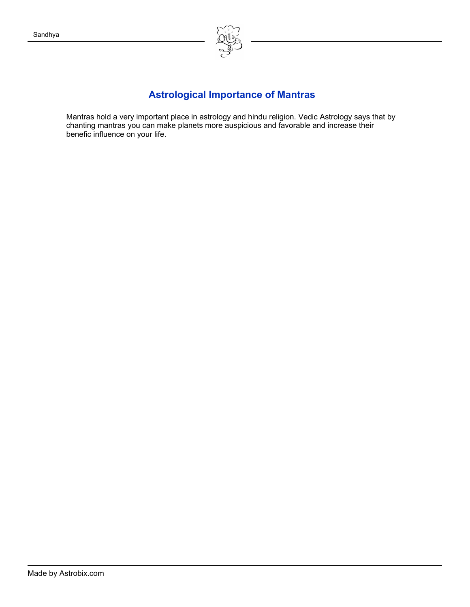

### **Astrological Importance of Mantras**

Mantras hold a very important place in astrology and hindu religion. Vedic Astrology says that by chanting mantras you can make planets more auspicious and favorable and increase their benefic influence on your life.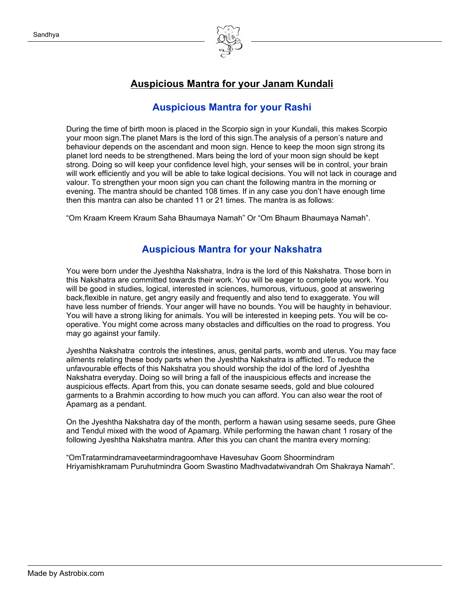

#### **Auspicious Mantra for your Janam Kundali**

#### **Auspicious Mantra for your Rashi**

During the time of birth moon is placed in the Scorpio sign in your Kundali, this makes Scorpio your moon sign.The planet Mars is the lord of this sign.The analysis of a person's nature and behaviour depends on the ascendant and moon sign. Hence to keep the moon sign strong its planet lord needs to be strengthened. Mars being the lord of your moon sign should be kept strong. Doing so will keep your confidence level high, your senses will be in control, your brain will work efficiently and you will be able to take logical decisions. You will not lack in courage and valour. To strengthen your moon sign you can chant the following mantra in the morning or evening. The mantra should be chanted 108 times. If in any case you don't have enough time then this mantra can also be chanted 11 or 21 times. The mantra is as follows:

"Om Kraam Kreem Kraum Saha Bhaumaya Namah" Or "Om Bhaum Bhaumaya Namah".

#### **Auspicious Mantra for your Nakshatra**

You were born under the Jyeshtha Nakshatra, Indra is the lord of this Nakshatra. Those born in this Nakshatra are committed towards their work. You will be eager to complete you work. You will be good in studies, logical, interested in sciences, humorous, virtuous, good at answering back,flexible in nature, get angry easily and frequently and also tend to exaggerate. You will have less number of friends. Your anger will have no bounds. You will be haughty in behaviour. You will have a strong liking for animals. You will be interested in keeping pets. You will be cooperative. You might come across many obstacles and difficulties on the road to progress. You may go against your family.

Jyeshtha Nakshatra controls the intestines, anus, genital parts, womb and uterus. You may face ailments relating these body parts when the Jyeshtha Nakshatra is afflicted. To reduce the unfavourable effects of this Nakshatra you should worship the idol of the lord of Jyeshtha Nakshatra everyday. Doing so will bring a fall of the inauspicious effects and increase the auspicious effects. Apart from this, you can donate sesame seeds, gold and blue coloured garments to a Brahmin according to how much you can afford. You can also wear the root of Apamarg as a pendant.

On the Jyeshtha Nakshatra day of the month, perform a hawan using sesame seeds, pure Ghee and Tendul mixed with the wood of Apamarg. While performing the hawan chant 1 rosary of the following Jyeshtha Nakshatra mantra. After this you can chant the mantra every morning:

"OmTratarmindramaveetarmindragoomhave Havesuhav Goom Shoormindram Hriyamishkramam Puruhutmindra Goom Swastino Madhvadatwivandrah Om Shakraya Namah".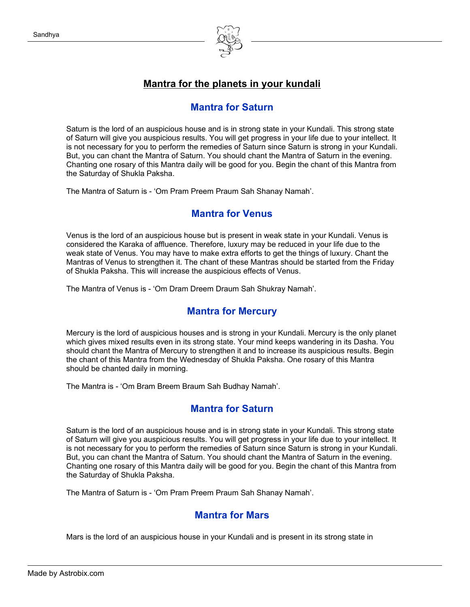

#### **Mantra for the planets in your kundali**

#### **Mantra for Saturn**

Saturn is the lord of an auspicious house and is in strong state in your Kundali. This strong state of Saturn will give you auspicious results. You will get progress in your life due to your intellect. It is not necessary for you to perform the remedies of Saturn since Saturn is strong in your Kundali. But, you can chant the Mantra of Saturn. You should chant the Mantra of Saturn in the evening. Chanting one rosary of this Mantra daily will be good for you. Begin the chant of this Mantra from the Saturday of Shukla Paksha.

The Mantra of Saturn is - 'Om Pram Preem Praum Sah Shanay Namah'.

#### **Mantra for Venus**

Venus is the lord of an auspicious house but is present in weak state in your Kundali. Venus is considered the Karaka of affluence. Therefore, luxury may be reduced in your life due to the weak state of Venus. You may have to make extra efforts to get the things of luxury. Chant the Mantras of Venus to strengthen it. The chant of these Mantras should be started from the Friday of Shukla Paksha. This will increase the auspicious effects of Venus.

The Mantra of Venus is - 'Om Dram Dreem Draum Sah Shukray Namah'.

#### **Mantra for Mercury**

Mercury is the lord of auspicious houses and is strong in your Kundali. Mercury is the only planet which gives mixed results even in its strong state. Your mind keeps wandering in its Dasha. You should chant the Mantra of Mercury to strengthen it and to increase its auspicious results. Begin the chant of this Mantra from the Wednesday of Shukla Paksha. One rosary of this Mantra should be chanted daily in morning.

The Mantra is - 'Om Bram Breem Braum Sah Budhay Namah'.

#### **Mantra for Saturn**

Saturn is the lord of an auspicious house and is in strong state in your Kundali. This strong state of Saturn will give you auspicious results. You will get progress in your life due to your intellect. It is not necessary for you to perform the remedies of Saturn since Saturn is strong in your Kundali. But, you can chant the Mantra of Saturn. You should chant the Mantra of Saturn in the evening. Chanting one rosary of this Mantra daily will be good for you. Begin the chant of this Mantra from the Saturday of Shukla Paksha.

The Mantra of Saturn is - 'Om Pram Preem Praum Sah Shanay Namah'.

#### **Mantra for Mars**

Mars is the lord of an auspicious house in your Kundali and is present in its strong state in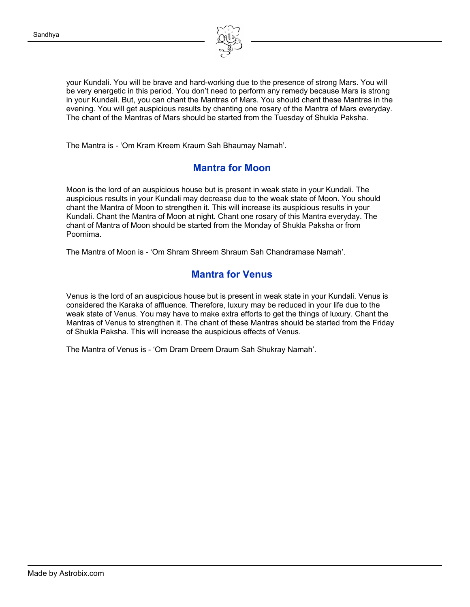

your Kundali. You will be brave and hard-working due to the presence of strong Mars. You will be very energetic in this period. You don't need to perform any remedy because Mars is strong in your Kundali. But, you can chant the Mantras of Mars. You should chant these Mantras in the evening. You will get auspicious results by chanting one rosary of the Mantra of Mars everyday. The chant of the Mantras of Mars should be started from the Tuesday of Shukla Paksha.

The Mantra is - 'Om Kram Kreem Kraum Sah Bhaumay Namah'.

#### **Mantra for Moon**

Moon is the lord of an auspicious house but is present in weak state in your Kundali. The auspicious results in your Kundali may decrease due to the weak state of Moon. You should chant the Mantra of Moon to strengthen it. This will increase its auspicious results in your Kundali. Chant the Mantra of Moon at night. Chant one rosary of this Mantra everyday. The chant of Mantra of Moon should be started from the Monday of Shukla Paksha or from Poornima.

The Mantra of Moon is - 'Om Shram Shreem Shraum Sah Chandramase Namah'.

#### **Mantra for Venus**

Venus is the lord of an auspicious house but is present in weak state in your Kundali. Venus is considered the Karaka of affluence. Therefore, luxury may be reduced in your life due to the weak state of Venus. You may have to make extra efforts to get the things of luxury. Chant the Mantras of Venus to strengthen it. The chant of these Mantras should be started from the Friday of Shukla Paksha. This will increase the auspicious effects of Venus.

The Mantra of Venus is - 'Om Dram Dreem Draum Sah Shukray Namah'.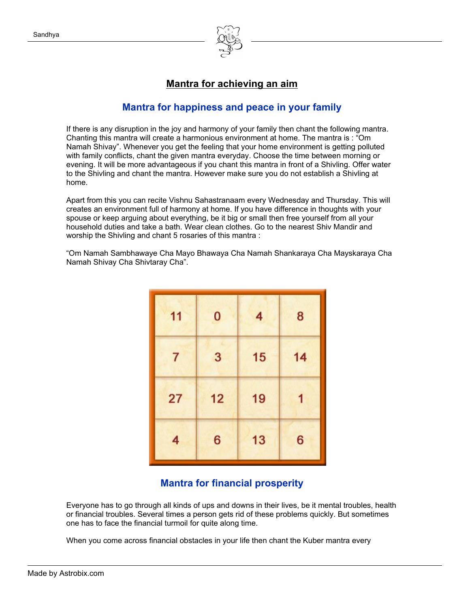

#### **Mantra for achieving an aim**

#### **Mantra for happiness and peace in your family**

If there is any disruption in the joy and harmony of your family then chant the following mantra. Chanting this mantra will create a harmonious environment at home. The mantra is : "Om Namah Shivay". Whenever you get the feeling that your home environment is getting polluted with family conflicts, chant the given mantra everyday. Choose the time between morning or evening. It will be more advantageous if you chant this mantra in front of a Shivling. Offer water to the Shivling and chant the mantra. However make sure you do not establish a Shivling at home.

Apart from this you can recite Vishnu Sahastranaam every Wednesday and Thursday. This will creates an environment full of harmony at home. If you have difference in thoughts with your spouse or keep arguing about everything, be it big or small then free yourself from all your household duties and take a bath. Wear clean clothes. Go to the nearest Shiv Mandir and worship the Shivling and chant 5 rosaries of this mantra :

"Om Namah Sambhawaye Cha Mayo Bhawaya Cha Namah Shankaraya Cha Mayskaraya Cha Namah Shivay Cha Shivtaray Cha".

| 11 | 0  | 4  | 8  |
|----|----|----|----|
| 7  | 3  | 15 | 14 |
| 27 | 12 | 19 |    |
| 4  | 6  | 13 | 6  |

#### **Mantra for financial prosperity**

Everyone has to go through all kinds of ups and downs in their lives, be it mental troubles, health or financial troubles. Several times a person gets rid of these problems quickly. But sometimes one has to face the financial turmoil for quite along time.

When you come across financial obstacles in your life then chant the Kuber mantra every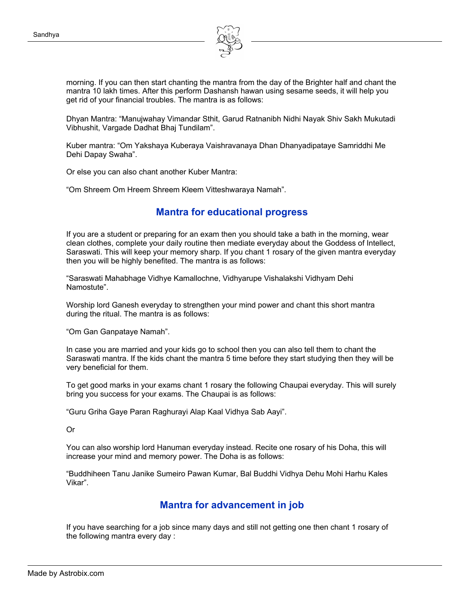

morning. If you can then start chanting the mantra from the day of the Brighter half and chant the mantra 10 lakh times. After this perform Dashansh hawan using sesame seeds, it will help you get rid of your financial troubles. The mantra is as follows:

Dhyan Mantra: "Manujwahay Vimandar Sthit, Garud Ratnanibh Nidhi Nayak Shiv Sakh Mukutadi Vibhushit, Vargade Dadhat Bhaj Tundilam".

Kuber mantra: "Om Yakshaya Kuberaya Vaishravanaya Dhan Dhanyadipataye Samriddhi Me Dehi Dapay Swaha".

Or else you can also chant another Kuber Mantra:

"Om Shreem Om Hreem Shreem Kleem Vitteshwaraya Namah".

#### **Mantra for educational progress**

If you are a student or preparing for an exam then you should take a bath in the morning, wear clean clothes, complete your daily routine then mediate everyday about the Goddess of Intellect, Saraswati. This will keep your memory sharp. If you chant 1 rosary of the given mantra everyday then you will be highly benefited. The mantra is as follows:

"Saraswati Mahabhage Vidhye Kamallochne, Vidhyarupe Vishalakshi Vidhyam Dehi Namostute".

Worship lord Ganesh everyday to strengthen your mind power and chant this short mantra during the ritual. The mantra is as follows:

"Om Gan Ganpataye Namah".

In case you are married and your kids go to school then you can also tell them to chant the Saraswati mantra. If the kids chant the mantra 5 time before they start studying then they will be very beneficial for them.

To get good marks in your exams chant 1 rosary the following Chaupai everyday. This will surely bring you success for your exams. The Chaupai is as follows:

"Guru Griha Gaye Paran Raghurayi Alap Kaal Vidhya Sab Aayi".

Or

You can also worship lord Hanuman everyday instead. Recite one rosary of his Doha, this will increase your mind and memory power. The Doha is as follows:

"Buddhiheen Tanu Janike Sumeiro Pawan Kumar, Bal Buddhi Vidhya Dehu Mohi Harhu Kales Vikar".

#### **Mantra for advancement in job**

If you have searching for a job since many days and still not getting one then chant 1 rosary of the following mantra every day :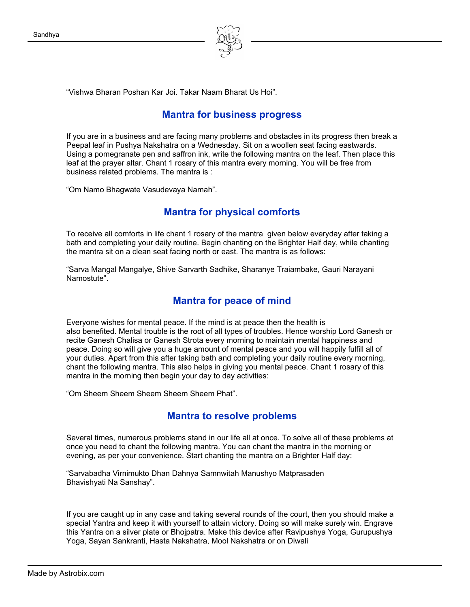

"Vishwa Bharan Poshan Kar Joi. Takar Naam Bharat Us Hoi".

#### **Mantra for business progress**

If you are in a business and are facing many problems and obstacles in its progress then break a Peepal leaf in Pushya Nakshatra on a Wednesday. Sit on a woollen seat facing eastwards. Using a pomegranate pen and saffron ink, write the following mantra on the leaf. Then place this leaf at the prayer altar. Chant 1 rosary of this mantra every morning. You will be free from business related problems. The mantra is :

"Om Namo Bhagwate Vasudevaya Namah".

#### **Mantra for physical comforts**

To receive all comforts in life chant 1 rosary of the mantra given below everyday after taking a bath and completing your daily routine. Begin chanting on the Brighter Half day, while chanting the mantra sit on a clean seat facing north or east. The mantra is as follows:

"Sarva Mangal Mangalye, Shive Sarvarth Sadhike, Sharanye Traiambake, Gauri Narayani Namostute".

#### **Mantra for peace of mind**

Everyone wishes for mental peace. If the mind is at peace then the health is also benefited. Mental trouble is the root of all types of troubles. Hence worship Lord Ganesh or recite Ganesh Chalisa or Ganesh Strota every morning to maintain mental happiness and peace. Doing so will give you a huge amount of mental peace and you will happily fulfill all of your duties. Apart from this after taking bath and completing your daily routine every morning, chant the following mantra. This also helps in giving you mental peace. Chant 1 rosary of this mantra in the morning then begin your day to day activities:

"Om Sheem Sheem Sheem Sheem Sheem Phat".

#### **Mantra to resolve problems**

Several times, numerous problems stand in our life all at once. To solve all of these problems at once you need to chant the following mantra. You can chant the mantra in the morning or evening, as per your convenience. Start chanting the mantra on a Brighter Half day:

"Sarvabadha Virnimukto Dhan Dahnya Samnwitah Manushyo Matprasaden Bhavishyati Na Sanshay".

If you are caught up in any case and taking several rounds of the court, then you should make a special Yantra and keep it with yourself to attain victory. Doing so will make surely win. Engrave this Yantra on a silver plate or Bhojpatra. Make this device after Ravipushya Yoga, Gurupushya Yoga, Sayan Sankranti, Hasta Nakshatra, Mool Nakshatra or on Diwali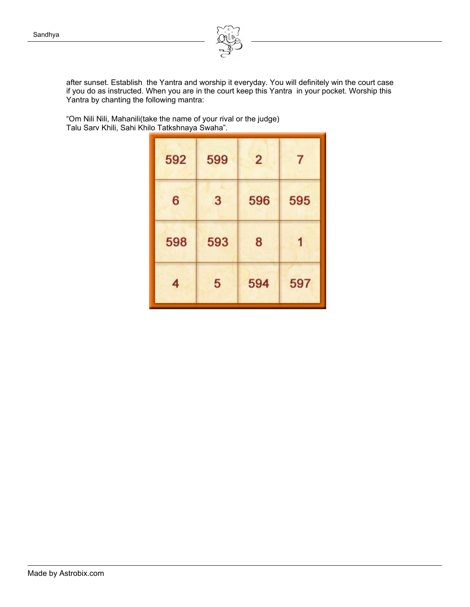

after sunset. Establish the Yantra and worship it everyday. You will definitely win the court case if you do as instructed. When you are in the court keep this Yantra in your pocket. Worship this Yantra by chanting the following mantra:

"Om Nili Nili, Mahanili(take the name of your rival or the judge) Talu Sarv Khili, Sahi Khilo Tatkshnaya Swaha".

| 592 | 599 | $\overline{2}$ | 7   |
|-----|-----|----------------|-----|
| 6   | 3   | 596            | 595 |
| 598 | 593 | 8              |     |
| 4   | 5   | 594            | 597 |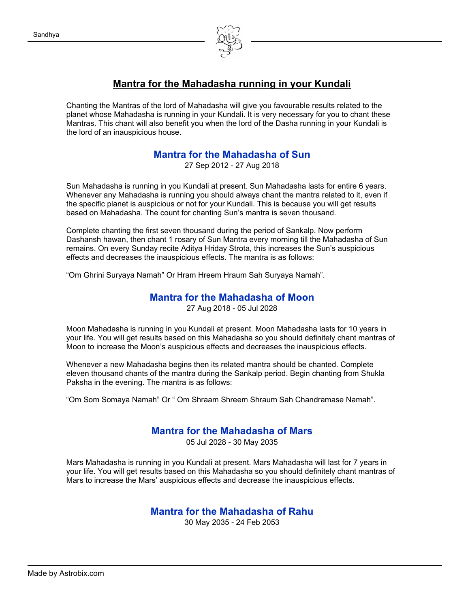Sandhya



#### **Mantra for the Mahadasha running in your Kundali**

Chanting the Mantras of the lord of Mahadasha will give you favourable results related to the planet whose Mahadasha is running in your Kundali. It is very necessary for you to chant these Mantras. This chant will also benefit you when the lord of the Dasha running in your Kundali is the lord of an inauspicious house.

#### **Mantra for the Mahadasha of Sun**

27 Sep 2012 - 27 Aug 2018

Sun Mahadasha is running in you Kundali at present. Sun Mahadasha lasts for entire 6 years. Whenever any Mahadasha is running you should always chant the mantra related to it, even if the specific planet is auspicious or not for your Kundali. This is because you will get results based on Mahadasha. The count for chanting Sun's mantra is seven thousand.

Complete chanting the first seven thousand during the period of Sankalp. Now perform Dashansh hawan, then chant 1 rosary of Sun Mantra every morning till the Mahadasha of Sun remains. On every Sunday recite Aditya Hriday Strota, this increases the Sun's auspicious effects and decreases the inauspicious effects. The mantra is as follows:

"Om Ghrini Suryaya Namah" Or Hram Hreem Hraum Sah Suryaya Namah".

#### **Mantra for the Mahadasha of Moon**

27 Aug 2018 - 05 Jul 2028

Moon Mahadasha is running in you Kundali at present. Moon Mahadasha lasts for 10 years in your life. You will get results based on this Mahadasha so you should definitely chant mantras of Moon to increase the Moon's auspicious effects and decreases the inauspicious effects.

Whenever a new Mahadasha begins then its related mantra should be chanted. Complete eleven thousand chants of the mantra during the Sankalp period. Begin chanting from Shukla Paksha in the evening. The mantra is as follows:

"Om Som Somaya Namah" Or " Om Shraam Shreem Shraum Sah Chandramase Namah".

#### **Mantra for the Mahadasha of Mars**

05 Jul 2028 - 30 May 2035

Mars Mahadasha is running in you Kundali at present. Mars Mahadasha will last for 7 years in your life. You will get results based on this Mahadasha so you should definitely chant mantras of Mars to increase the Mars' auspicious effects and decrease the inauspicious effects.

#### **Mantra for the Mahadasha of Rahu**

30 May 2035 - 24 Feb 2053